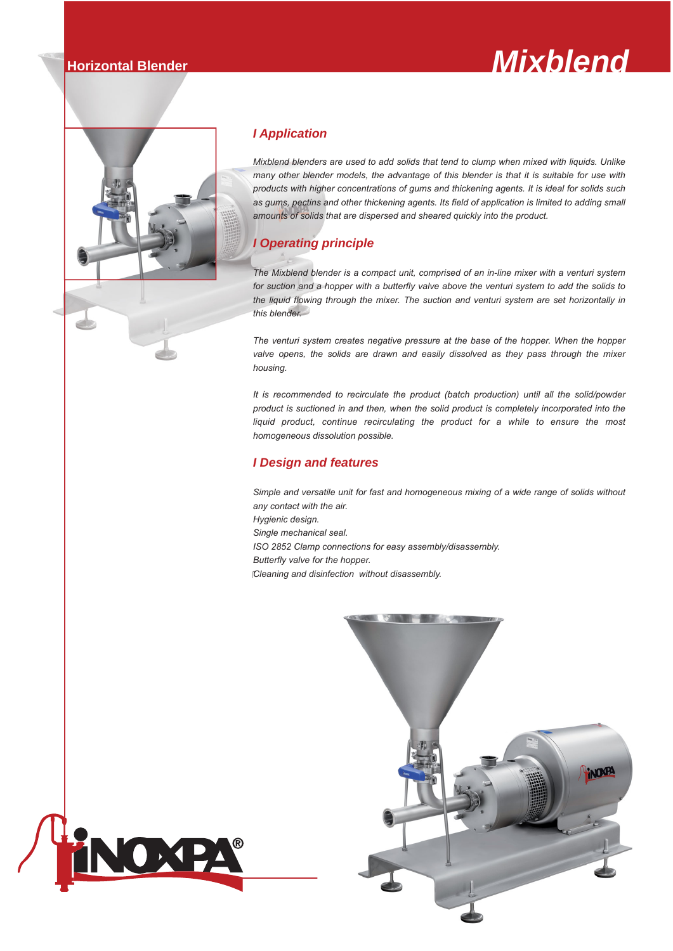# **Horizontal Blender** *Mixblend*



OXPA

# *I Application*

*Mixblend blenders are used to add solids that tend to clump when mixed with liquids. Unlike many other blender models, the advantage of this blender is that it is suitable for use with products with higher concentrations of gums and thickening agents. It is ideal for solids such as gums, pectins and other thickening agents. Its field of application is limited to adding small amounts of solids that are dispersed and sheared quickly into the product.* 

# *I Operating principle*

*The Mixblend blender is a compact unit, comprised of an in-line mixer with a venturi system for suction and a hopper with a butterfly valve above the venturi system to add the solids to the liquid flowing through the mixer. The suction and venturi system are set horizontally in this blender.*

*The venturi system creates negative pressure at the base of the hopper. When the hopper valve opens, the solids are drawn and easily dissolved as they pass through the mixer housing.*

*It is recommended to recirculate the product (batch production) until all the solid/powder product is suctioned in and then, when the solid product is completely incorporated into the liquid product, continue recirculating the product for a while to ensure the most homogeneous dissolution possible.*

## *I Design and features*

*Simple and versatile unit for fast and homogeneous mixing of a wide range of solids without any contact with the air.*

*Hygienic design.*

- *Single mechanical seal. ISO 2852 Clamp connections for easy assembly/disassembly.*
- *Butterfly valve for the hopper.*

*Cleaning and disinfection without disassembly.*

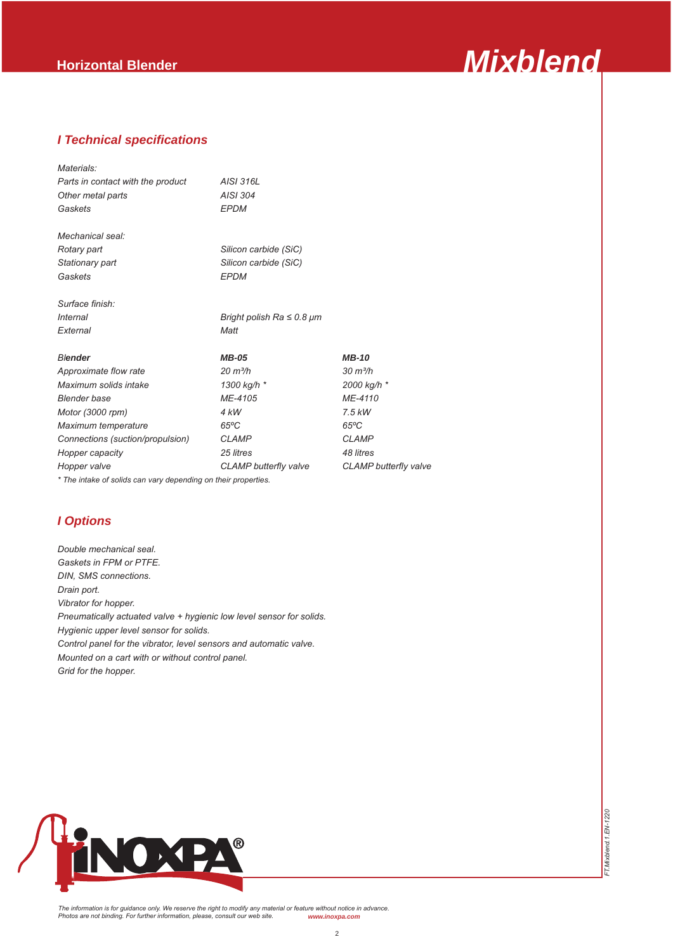

*FT.Mixblend.1.EN-1220*

FT.Mixblend. 1.EN-1220

### *I Technical specifications*

| Materials:                        |                                     |                              |
|-----------------------------------|-------------------------------------|------------------------------|
| Parts in contact with the product | AISI 316L                           |                              |
| Other metal parts                 | AISI 304                            |                              |
| Gaskets                           | <b>EPDM</b>                         |                              |
| Mechanical seal:                  |                                     |                              |
| Rotary part                       | Silicon carbide (SiC)               |                              |
| Stationary part                   | Silicon carbide (SiC)               |                              |
| Gaskets                           | <b>EPDM</b>                         |                              |
| Surface finish:                   |                                     |                              |
| Internal                          | Bright polish Ra $\leq$ 0.8 $\mu$ m |                              |
| External                          | Matt                                |                              |
| <b>Blender</b>                    | <b>MB-05</b>                        | <b>MB-10</b>                 |
| Approximate flow rate             | $20 \frac{m^3}{h}$                  | $30 \text{ m}^3/h$           |
| Maximum solids intake             | 1300 kg/h *                         | 2000 kg/h *                  |
| <b>Blender</b> base               | ME-4105                             | ME-4110                      |
| Motor (3000 rpm)                  | 4 kW                                | $7.5$ kW                     |
| Maximum temperature               | $65^{\circ}$ C                      | $65^{\circ}$ C               |
| Connections (suction/propulsion)  | <b>CLAMP</b>                        | <b>CLAMP</b>                 |
| Hopper capacity                   | 25 litres                           | 48 litres                    |
| Hopper valve                      | <b>CLAMP</b> butterfly valve        | <b>CLAMP</b> butterfly valve |
|                                   |                                     |                              |

*\* The intake of solids can vary depending on their properties.*

# *I Options*

*Double mechanical seal. Gaskets in FPM or PTFE. DIN, SMS connections. Drain port. Vibrator for hopper. Pneumatically actuated valve + hygienic low level sensor for solids. Hygienic upper level sensor for solids. Control panel for the vibrator, level sensors and automatic valve. Mounted on a cart with or without control panel. Grid for the hopper.*



*The information is for guidance only. We reserve the right to modify any material or feature without notice in advance. Photos are not binding. For further information, please, consult our web site. www.inoxpa.com*